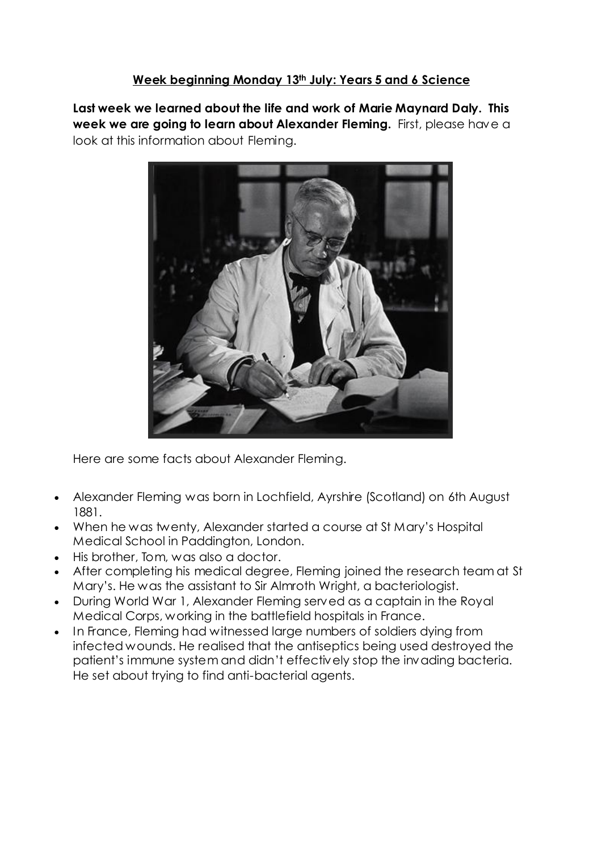#### **Week beginning Monday 13th July: Years 5 and 6 Science**

**Last week we learned about the life and work of Marie Maynard Daly. This week we are going to learn about Alexander Fleming.** First, please have a look at this information about Fleming.



Here are some facts about Alexander Fleming.

- Alexander Fleming was born in Lochfield, Ayrshire (Scotland) on 6th August 1881.
- When he was twenty, Alexander started a course at St Mary's Hospital Medical School in Paddington, London.
- His brother, Tom, was also a doctor.
- After completing his medical degree, Fleming joined the research team at St Mary's. He was the assistant to Sir Almroth Wright, a bacteriologist.
- During World War 1, Alexander Fleming served as a captain in the Royal Medical Corps, working in the battlefield hospitals in France.
- In France, Fleming had witnessed large numbers of soldiers dying from infected wounds. He realised that the antiseptics being used destroyed the patient's immune system and didn't effectively stop the invading bacteria. He set about trying to find anti-bacterial agents.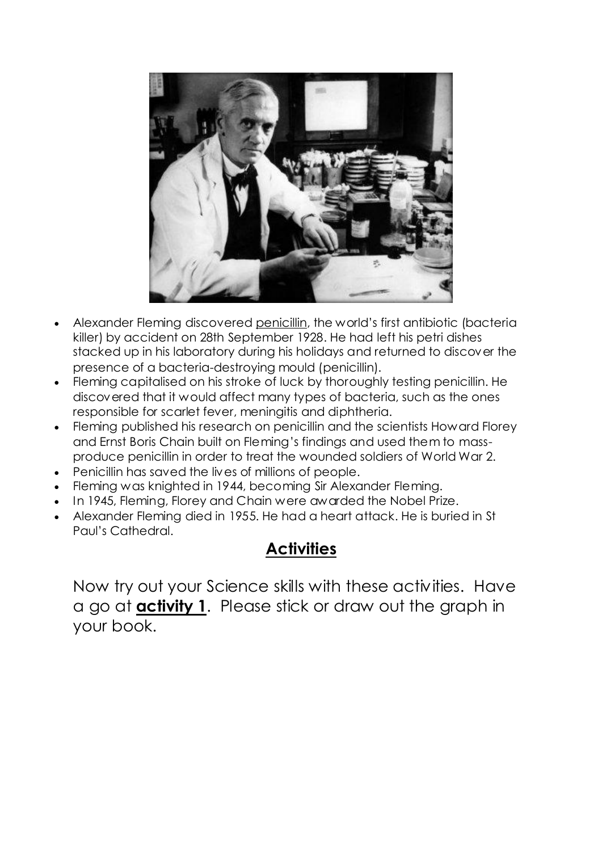

- Alexander Fleming discovered [penicillin](http://primaryfacts.com/4575/what-is-penicillin-facts-and-information/), the world's first antibiotic (bacteria killer) by accident on 28th September 1928. He had left his petri dishes stacked up in his laboratory during his holidays and returned to discover the presence of a bacteria-destroying mould (penicillin).
- Fleming capitalised on his stroke of luck by thoroughly testing penicillin. He discovered that it would affect many types of bacteria, such as the ones responsible for scarlet fever, meningitis and diphtheria.
- Fleming published his research on penicillin and the scientists Howard Florey and Ernst Boris Chain built on Fleming's findings and used them to massproduce penicillin in order to treat the wounded soldiers of [World](http://primaryfacts.com/world-war-2-facts-information-and-resources/) War 2.
- Penicillin has saved the lives of millions of people.
- Fleming was knighted in 1944, becoming Sir Alexander Fleming.
- In 1945, Fleming, Florey and Chain were awarded the Nobel Prize.
- Alexander Fleming died in 1955. He had a heart attack. He is buried in [St](http://primaryfacts.com/2450/st-pauls-cathedral-facts-and-information/) Paul's [Cathedral.](http://primaryfacts.com/2450/st-pauls-cathedral-facts-and-information/)

## **Activities**

Now try out your Science skills with these activities. Have a go at **activity 1**. Please stick or draw out the graph in your book.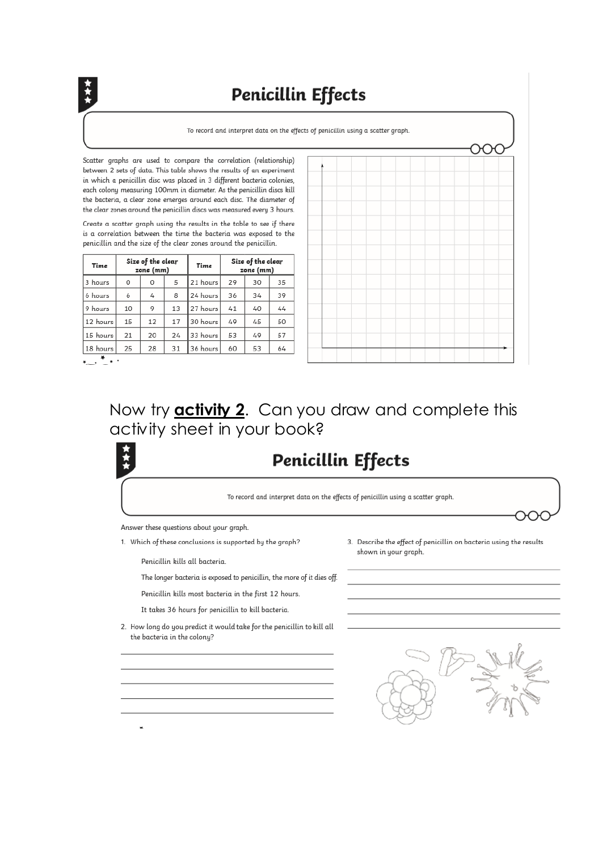## **Penicillin Effects**

To record and interpret data on the effects of penicillin using a scatter graph.

Scatter graphs are used to compare the correlation (relationship) between 2 sets of data. This table shows the results of an experiment in which a penicillin disc was placed in 3 different bacteria colonies, each colony measuring 100mm in diameter. As the penicillin discs kill the bacteria, a clear zone emerges around each disc. The diameter of the clear zones around the penicillin discs was measured every 3 hours.

Create a scatter graph using the results in the table to see if there is a correlation between the time the bacteria was exposed to the penicillin and the size of the clear zones around the penicillin.

| Time     | Size of the clear<br>zone (mm) |    |    | Time     | Size of the clear<br>zone (mm) |    |    |
|----------|--------------------------------|----|----|----------|--------------------------------|----|----|
| 3 hours  | 0                              | 0  | 5  | 21 hours | 29                             | 30 | 35 |
| 6 hours  | 6                              | 4  | 8  | 24 hours | 36                             | 34 | 39 |
| 9 hours  | 10                             | 9  | 13 | 27 hours | 41                             | 40 | 44 |
| 12 hours | 15                             | 12 | 17 | 30 hours | 49                             | 45 | 50 |
| 15 hours | 21                             | 20 | 24 | 33 hours | 53                             | 49 | 57 |
| 18 hours | 25                             | 28 | 31 | 36 hours | 60                             | 53 | 64 |
|          |                                |    |    |          |                                |    |    |



モーニャ

### Now try **activity 2**. Can you draw and complete this activity sheet in your book?

# **Penicillin Effects**

To record and interpret data on the effects of penicillin using a scatter graph.

Answer these questions about your graph.

1. Which of these conclusions is supported by the graph?

Penicillin kills all bacteria.

The longer bacteria is exposed to penicillin, the more of it dies off.

Penicillin kills most bacteria in the first 12 hours.

It takes 36 hours for penicillin to kill bacteria.

2. How long do you predict it would take for the penicillin to kill all the bacteria in the colony?



3. Describe the effect of penicillin on bacteria using the results

shown in your graph.